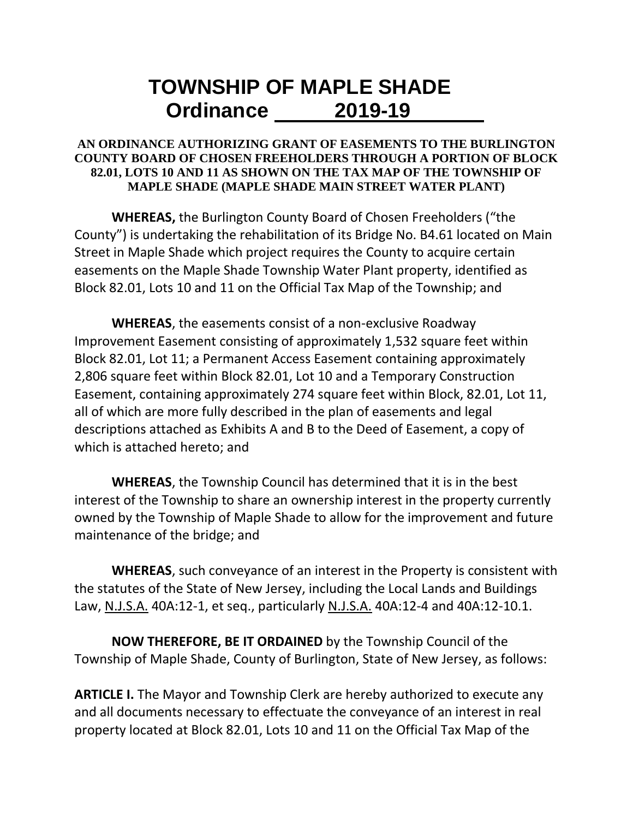## **TOWNSHIP OF MAPLE SHADE Ordinance 2019-19**

## **AN ORDINANCE AUTHORIZING GRANT OF EASEMENTS TO THE BURLINGTON COUNTY BOARD OF CHOSEN FREEHOLDERS THROUGH A PORTION OF BLOCK 82.01, LOTS 10 AND 11 AS SHOWN ON THE TAX MAP OF THE TOWNSHIP OF MAPLE SHADE (MAPLE SHADE MAIN STREET WATER PLANT)**

**WHEREAS,** the Burlington County Board of Chosen Freeholders ("the County") is undertaking the rehabilitation of its Bridge No. B4.61 located on Main Street in Maple Shade which project requires the County to acquire certain easements on the Maple Shade Township Water Plant property, identified as Block 82.01, Lots 10 and 11 on the Official Tax Map of the Township; and

**WHEREAS**, the easements consist of a non-exclusive Roadway Improvement Easement consisting of approximately 1,532 square feet within Block 82.01, Lot 11; a Permanent Access Easement containing approximately 2,806 square feet within Block 82.01, Lot 10 and a Temporary Construction Easement, containing approximately 274 square feet within Block, 82.01, Lot 11, all of which are more fully described in the plan of easements and legal descriptions attached as Exhibits A and B to the Deed of Easement, a copy of which is attached hereto; and

**WHEREAS**, the Township Council has determined that it is in the best interest of the Township to share an ownership interest in the property currently owned by the Township of Maple Shade to allow for the improvement and future maintenance of the bridge; and

**WHEREAS**, such conveyance of an interest in the Property is consistent with the statutes of the State of New Jersey, including the Local Lands and Buildings Law, N.J.S.A. 40A:12-1, et seq., particularly N.J.S.A. 40A:12-4 and 40A:12-10.1.

**NOW THEREFORE, BE IT ORDAINED** by the Township Council of the Township of Maple Shade, County of Burlington, State of New Jersey, as follows:

**ARTICLE I.** The Mayor and Township Clerk are hereby authorized to execute any and all documents necessary to effectuate the conveyance of an interest in real property located at Block 82.01, Lots 10 and 11 on the Official Tax Map of the